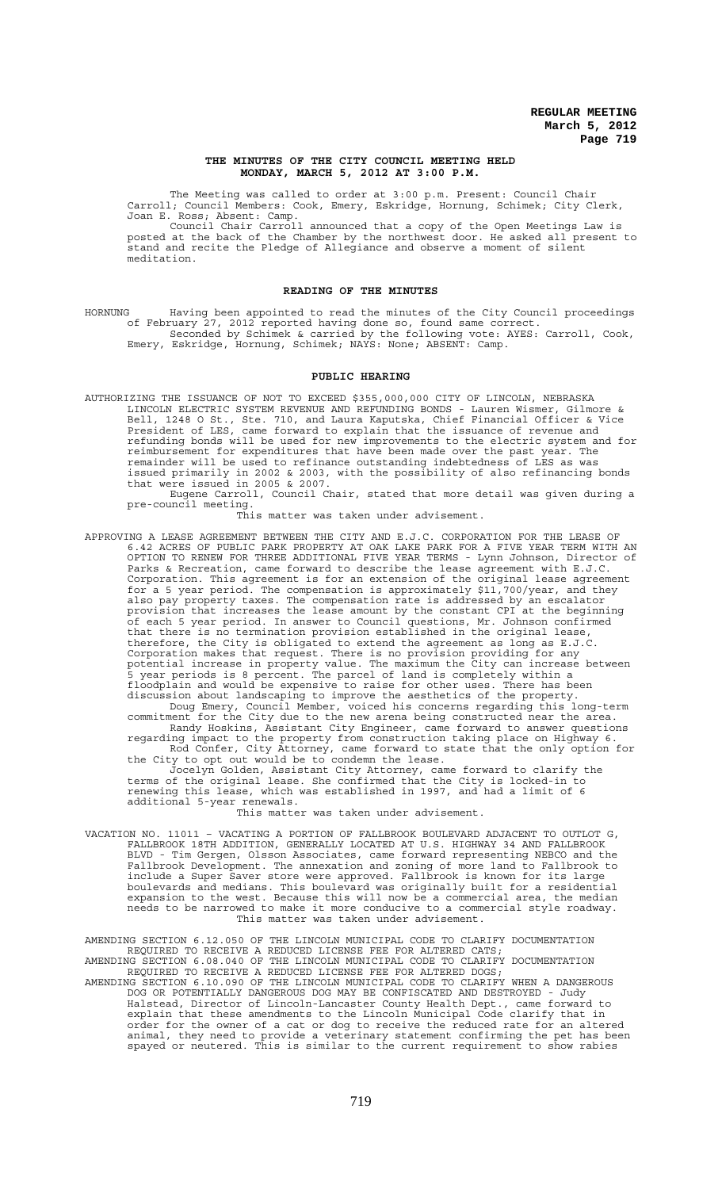### **THE MINUTES OF THE CITY COUNCIL MEETING HELD MONDAY, MARCH 5, 2012 AT 3:00 P.M.**

The Meeting was called to order at 3:00 p.m. Present: Council Chair Carroll; Council Members: Cook, Emery, Eskridge, Hornung, Schimek; City Clerk, Joan E. Ross; Absent: Camp.

Council Chair Carroll announced that a copy of the Open Meetings Law is posted at the back of the Chamber by the northwest door. He asked all present to stand and recite the Pledge of Allegiance and observe a moment of silent meditation.

## **READING OF THE MINUTES**

HORNUNG Having been appointed to read the minutes of the City Council proceedings of February 27, 2012 reported having done so, found same correct. Seconded by Schimek & carried by the following vote: AYES: Carroll, Cook, Emery, Eskridge, Hornung, Schimek; NAYS: None; ABSENT: Camp.

# **PUBLIC HEARING**

AUTHORIZING THE ISSUANCE OF NOT TO EXCEED \$355,000,000 CITY OF LINCOLN, NEBRASKA LINCOLN ELECTRIC SYSTEM REVENUE AND REFUNDING BONDS - Lauren Wismer, Gilmore & Bell, 1248 O St., Ste. 710, and Laura Kaputska, Chief Financial Officer & Vice President of LES, came forward to explain that the issuance of revenue and refunding bonds will be used for new improvements to the electric system and for reimbursement for expenditures that have been made over the past year. The remainder will be used to refinance outstanding indebtedness of LES as was issued primarily in 2002 & 2003, with the possibility of also refinancing bonds that were issued in 2005 & 2007. Eugene Carroll, Council Chair, stated that more detail was given during a

pre-council meeting.

This matter was taken under advisement.

APPROVING A LEASE AGREEMENT BETWEEN THE CITY AND E.J.C. CORPORATION FOR THE LEASE OF 6.42 ACRES OF PUBLIC PARK PROPERTY AT OAK LAKE PARK FOR A FIVE YEAR TERM WITH AN OPTION TO RENEW FOR THREE ADDITIONAL FIVE YEAR TERMS - Lynn Johnson, Director of Parks & Recreation, came forward to describe the lease agreement with E.J.C. Corporation. This agreement is for an extension of the original lease agreement for a 5 year period. The compensation is approximately \$11,700/year, and they also pay property taxes. The compensation rate is addressed by an escalator provision that increases the lease amount by the constant CPI at the beginning of each 5 year period. In answer to Council questions, Mr. Johnson confirmed that there is no termination provision established in the original lease, therefore, the City is obligated to extend the agreement as long as E.J.C. Corporation makes that request. There is no provision providing for any potential increase in property value. The maximum the City can increase between 5 year periods is 8 percent. The parcel of land is completely within a floodplain and would be expensive to raise for other uses. There has been discussion about landscaping to improve the aesthetics of the property. Doug Emery, Council Member, voiced his concerns regarding this long-term commitment for the City due to the new arena being constructed near the area. Randy Hoskins, Assistant City Engineer, came forward to answer questions regarding impact to the property from construction taking place on Highway 6. Rod Confer, City Attorney, came forward to state that the only option for the City to opt out would be to condemn the lease.

Jocelyn Golden, Assistant City Attorney, came forward to clarify the terms of the original lease. She confirmed that the City is locked-in to renewing this lease, which was established in 1997, and had a limit of 6 additional 5-year renewals.

#### This matter was taken under advisement.

VACATION NO. 11011 – VACATING A PORTION OF FALLBROOK BOULEVARD ADJACENT TO OUTLOT G, FALLBROOK 18TH ADDITION, GENERALLY LOCATED AT U.S. HIGHWAY 34 AND FALLBROOK BLVD - Tim Gergen, Olsson Associates, came forward representing NEBCO and the Fallbrook Development. The annexation and zoning of more land to Fallbrook to include a Super Saver store were approved. Fallbrook is known for its large boulevards and medians. This boulevard was originally built for a residential expansion to the west. Because this will now be a commercial area, the median needs to be narrowed to make it more conducive to a commercial style roadway. This matter was taken under advisement.

AMENDING SECTION 6.12.050 OF THE LINCOLN MUNICIPAL CODE TO CLARIFY DOCUMENTATION REQUIRED TO RECEIVE A REDUCED LICENSE FEE FOR ALTERED CATS; AMENDING SECTION 6.08.040 OF THE LINCOLN MUNICIPAL CODE TO CLARIFY DOCUMENTATION

REQUIRED TO RECEIVE A REDUCED LICENSE FEE FOR ALTERED DOGS; AMENDING SECTION 6.10.090 OF THE LINCOLN MUNICIPAL CODE TO CLARIFY WHEN A DANGEROUS DOG OR POTENTIALLY DANGEROUS DOG MAY BE CONFISCATED AND DESTROYED - Judy Halstead, Director of Lincoln-Lancaster County Health Dept., came forward to explain that these amendments to the Lincoln Municipal Code clarify that in order for the owner of a cat or dog to receive the reduced rate for an altered animal, they need to provide a veterinary statement confirming the pet has been spayed or neutered. This is similar to the current requirement to show rabies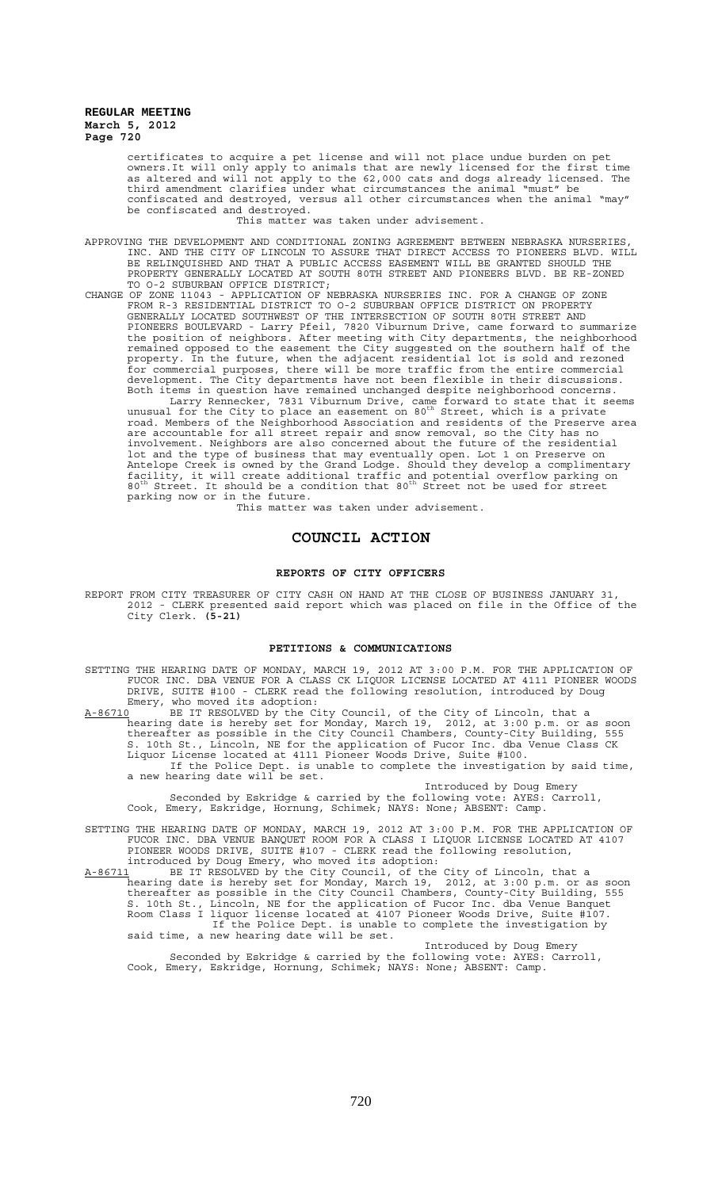certificates to acquire a pet license and will not place undue burden on pet owners.It will only apply to animals that are newly licensed for the first time as altered and will not apply to the 62,000 cats and dogs already licensed. The third amendment clarifies under what circumstances the animal "must" be confiscated and destroyed, versus all other circumstances when the animal "may" be confiscated and destroyed.

This matter was taken under advisement.

- APPROVING THE DEVELOPMENT AND CONDITIONAL ZONING AGREEMENT BETWEEN NEBRASKA NURSERIES, INC. AND THE CITY OF LINCOLN TO ASSURE THAT DIRECT ACCESS TO PIONEERS BLVD. WILL BE RELINQUISHED AND THAT A PUBLIC ACCESS EASEMENT WILL BE GRANTED SHOULD THE PROPERTY GENERALLY LOCATED AT SOUTH 80TH STREET AND PIONEERS BLVD. BE RE-ZONED TO O-2 SUBURBAN OFFICE DISTRICT;
- CHANGE OF ZONE 11043 APPLICATION OF NEBRASKA NURSERIES INC. FOR A CHANGE OF ZONE FROM R-3 RESIDENTIAL DISTRICT TO O-2 SUBURBAN OFFICE DISTRICT ON PROPERTY GENERALLY LOCATED SOUTHWEST OF THE INTERSECTION OF SOUTH 80TH STREET AND PIONEERS BOULEVARD - Larry Pfeil, 7820 Viburnum Drive, came forward to summarize the position of neighbors. After meeting with City departments, the neighborhood remained opposed to the easement the City suggested on the southern half of the property. In the future, when the adjacent residential lot is sold and rezoned for commercial purposes, there will be more traffic from the entire commercial development. The City departments have not been flexible in their discussions. Both items in question have remained unchanged despite neighborhood concerns.

Larry Rennecker, 7831 Viburnum Drive, came forward to state that it seems<br>unusual for the City to place an easement on 80<sup>th</sup> Street, which is a private road. Members of the Neighborhood Association and residents of the Preserve area are accountable for all street repair and snow removal, so the City has no involvement. Neighbors are also concerned about the future of the residential lot and the type of business that may eventually open. Lot 1 on Preserve on Antelope Creek is owned by the Grand Lodge. Should they develop a complimentary facility, it will create additional traffic and potential overflow parking on<br>80<sup>th</sup> Street. It should be a condition that 80<sup>th</sup> Street not be used for street parking now or in the future.

This matter was taken under advisement.

## **COUNCIL ACTION**

#### **REPORTS OF CITY OFFICERS**

REPORT FROM CITY TREASURER OF CITY CASH ON HAND AT THE CLOSE OF BUSINESS JANUARY 31, 2012 - CLERK presented said report which was placed on file in the Office of the City Clerk. **(5-21)**

#### **PETITIONS & COMMUNICATIONS**

- SETTING THE HEARING DATE OF MONDAY, MARCH 19, 2012 AT 3:00 P.M. FOR THE APPLICATION OF FUCOR INC. DBA VENUE FOR A CLASS CK LIQUOR LICENSE LOCATED AT 4111 PIONEER WOODS DRIVE, SUITE #100 - CLERK read the following resolution, introduced by Doug Emery, who moved its adoption:
- A-86710 BE IT RESOLVED by the City Council, of the City of Lincoln, that a hearing date is hereby set for Monday, March 19, 2012, at 3:00 p.m. or as soon thereafter as possible in the City Council Chambers, County-City Building, 555 S. 10th St., Lincoln, NE for the application of Fucor Inc. dba Venue Class CK Liquor License located at 4111 Pioneer Woods Drive, Suite #100. If the Police Dept. is unable to complete the investigation by said time, a new hearing date will be set.

Introduced by Doug Emery Seconded by Eskridge & carried by the following vote: AYES: Carroll, Cook, Emery, Eskridge, Hornung, Schimek; NAYS: None; ABSENT: Camp.

- SETTING THE HEARING DATE OF MONDAY, MARCH 19, 2012 AT 3:00 P.M. FOR THE APPLICATION OF FUCOR INC. DBA VENUE BANQUET ROOM FOR A CLASS I LIQUOR LICENSE LOCATED AT 4107 PIONEER WOODS DRIVE, SUITE #107 - CLERK read the following resolution, introduced by Doug Emery, who moved its adoption:
- A-86711 BE IT RESOLVED by the City Council, of the City of Lincoln, that a hearing date is hereby set for Monday, March 19, 2012, at 3:00 p.m. or as soon thereafter as possible in the City Council Chambers, County-City Building, 555 S. 10th St., Lincoln, NE for the application of Fucor Inc. dba Venue Banquet Room Class I liquor license located at 4107 Pioneer Woods Drive, Suite #107. If the Police Dept. is unable to complete the investigation by said time, a new hearing date will be set.

Introduced by Doug Emery Seconded by Eskridge & carried by the following vote: AYES: Carroll, Cook, Emery, Eskridge, Hornung, Schimek; NAYS: None; ABSENT: Camp.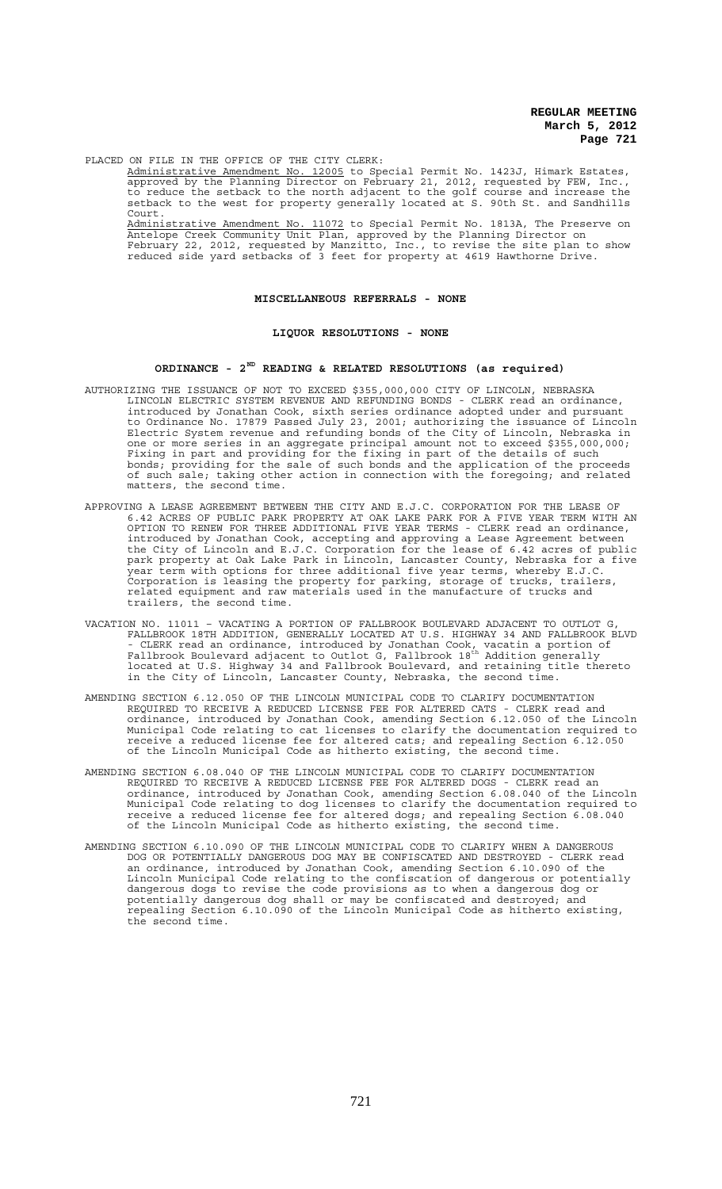PLACED ON FILE IN THE OFFICE OF THE CITY CLERK:

Administrative Amendment No. 12005 to Special Permit No. 1423J, Himark Estates, approved by the Planning Director on February 21, 2012, requested by FEW, Inc., to reduce the setback to the north adjacent to the golf course and increase the setback to the west for property generally located at S. 90th St. and Sandhills Court.

Administrative Amendment No. 11072 to Special Permit No. 1813A, The Preserve on Antelope Creek Community Unit Plan, approved by the Planning Director on February 22, 2012, requested by Manzitto, Inc., to revise the site plan to show reduced side yard setbacks of 3 feet for property at 4619 Hawthorne Drive.

## **MISCELLANEOUS REFERRALS - NONE**

## **LIQUOR RESOLUTIONS - NONE**

### **ORDINANCE - 2ND READING & RELATED RESOLUTIONS (as required)**

- AUTHORIZING THE ISSUANCE OF NOT TO EXCEED \$355,000,000 CITY OF LINCOLN, NEBRASKA LINCOLN ELECTRIC SYSTEM REVENUE AND REFUNDING BONDS - CLERK read an ordinance, introduced by Jonathan Cook, sixth series ordinance adopted under and pursuant to Ordinance No. 17879 Passed July 23, 2001; authorizing the issuance of Lincoln Electric System revenue and refunding bonds of the City of Lincoln, Nebraska in one or more series in an aggregate principal amount not to exceed \$355,000,000; Fixing in part and providing for the fixing in part of the details of such bonds; providing for the sale of such bonds and the application of the proceeds of such sale; taking other action in connection with the foregoing; and related matters, the second time.
- APPROVING A LEASE AGREEMENT BETWEEN THE CITY AND E.J.C. CORPORATION FOR THE LEASE OF 6.42 ACRES OF PUBLIC PARK PROPERTY AT OAK LAKE PARK FOR A FIVE YEAR TERM WITH AN OPTION TO RENEW FOR THREE ADDITIONAL FIVE YEAR TERMS - CLERK read an ordinance, introduced by Jonathan Cook, accepting and approving a Lease Agreement between the City of Lincoln and E.J.C. Corporation for the lease of 6.42 acres of public park property at Oak Lake Park in Lincoln, Lancaster County, Nebraska for a five year term with options for three additional five year terms, whereby E.J.C. Corporation is leasing the property for parking, storage of trucks, trailers, related equipment and raw materials used in the manufacture of trucks and trailers, the second time.
- VACATION NO. 11011 VACATING A PORTION OF FALLBROOK BOULEVARD ADJACENT TO OUTLOT G, FALLBROOK 18TH ADDITION, GENERALLY LOCATED AT U.S. HIGHWAY 34 AND FALLBROOK BLVD - CLERK read an ordinance, introduced by Jonathan Cook, vacatin a portion of<br>Fallbrook Boulevard adjacent to Outlot G, Fallbrook 18<sup>th</sup> Addition generally located at U.S. Highway 34 and Fallbrook Boulevard, and retaining title thereto in the City of Lincoln, Lancaster County, Nebraska, the second time.
- AMENDING SECTION 6.12.050 OF THE LINCOLN MUNICIPAL CODE TO CLARIFY DOCUMENTATION REQUIRED TO RECEIVE A REDUCED LICENSE FEE FOR ALTERED CATS - CLERK read and ordinance, introduced by Jonathan Cook, amending Section 6.12.050 of the Lincoln Municipal Code relating to cat licenses to clarify the documentation required to receive a reduced license fee for altered cats; and repealing Section 6.12.050 of the Lincoln Municipal Code as hitherto existing, the second time.
- AMENDING SECTION 6.08.040 OF THE LINCOLN MUNICIPAL CODE TO CLARIFY DOCUMENTATION REQUIRED TO RECEIVE A REDUCED LICENSE FEE FOR ALTERED DOGS - CLERK read an ordinance, introduced by Jonathan Cook, amending Section 6.08.040 of the Lincoln Municipal Code relating to dog licenses to clarify the documentation required to receive a reduced license fee for altered dogs; and repealing Section 6.08.040 of the Lincoln Municipal Code as hitherto existing, the second time.
- AMENDING SECTION 6.10.090 OF THE LINCOLN MUNICIPAL CODE TO CLARIFY WHEN A DANGEROUS DOG OR POTENTIALLY DANGEROUS DOG MAY BE CONFISCATED AND DESTROYED - CLERK read an ordinance, introduced by Jonathan Cook, amending Section 6.10.090 of the Lincoln Municipal Code relating to the confiscation of dangerous or potentially dangerous dogs to revise the code provisions as to when a dangerous dog or potentially dangerous dog shall or may be confiscated and destroyed; and repealing Section 6.10.090 of the Lincoln Municipal Code as hitherto existing, the second time.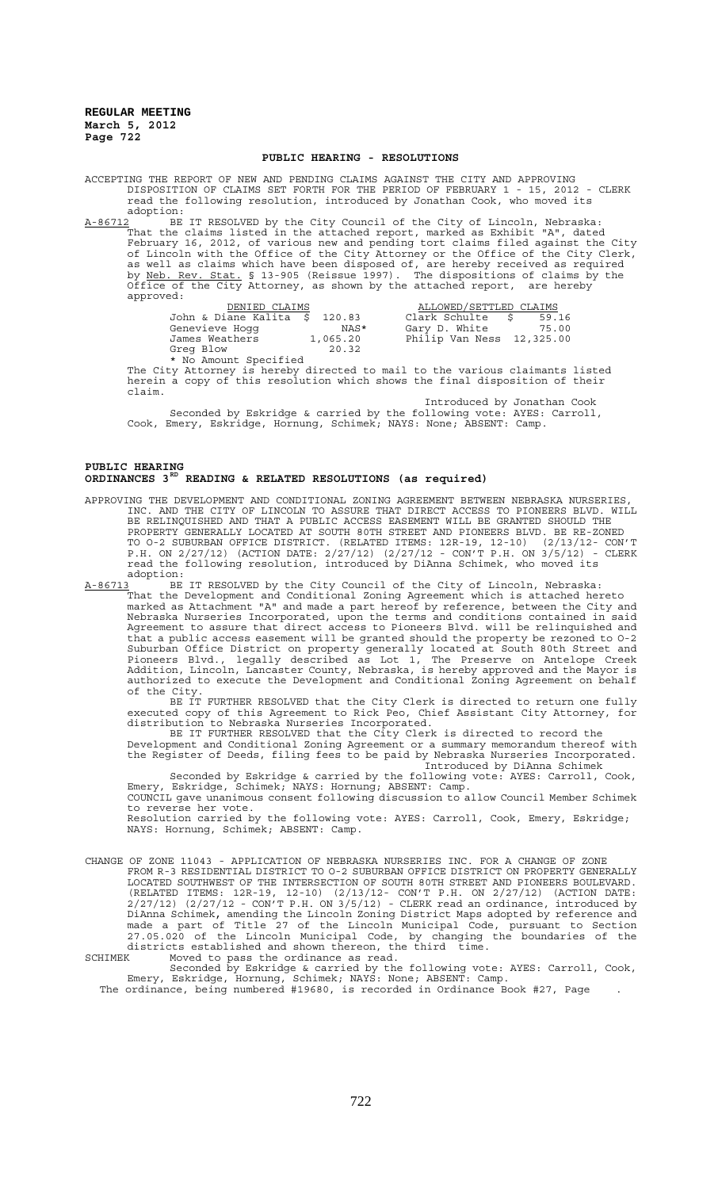#### **PUBLIC HEARING - RESOLUTIONS**

ACCEPTING THE REPORT OF NEW AND PENDING CLAIMS AGAINST THE CITY AND APPROVING DISPOSITION OF CLAIMS SET FORTH FOR THE PERIOD OF FEBRUARY 1 - 15, 2012 - CLERK read the following resolution, introduced by Jonathan Cook, who moved its adoption:

A-86712 BE IT RESOLVED by the City Council of the City of Lincoln, Nebraska: That the claims listed in the attached report, marked as Exhibit "A", dated February 16, 2012, of various new and pending tort claims filed against the City of Lincoln with the Office of the City Attorney or the Office of the City Clerk, as well as claims which have been disposed of, are hereby received as required by <u>Neb. Rev. Stat.</u> § 13-905 (Reissue 1997). The dispositions of claims by the Office of the City Attorney, as shown by the attached report, are hereby approved:

| DENIED CLAIMS                 |          | ALLOWED/SETTLED CLAIMS    |       |
|-------------------------------|----------|---------------------------|-------|
| John & Diane Kalita \$ 120.83 |          | Clark Schulte $$59.16$    |       |
| Genevieve Hoqq                | NAS*     | Gary D. White             | 75.00 |
| James Weathers                | 1,065.20 | Philip Van Ness 12,325.00 |       |
| Greg Blow                     | 20.32    |                           |       |
| * No Amount Specified         |          |                           |       |

The City Attorney is hereby directed to mail to the various claimants listed herein a copy of this resolution which shows the final disposition of their claim.

Introduced by Jonathan Cook Seconded by Eskridge & carried by the following vote: AYES: Carroll, Cook, Emery, Eskridge, Hornung, Schimek; NAYS: None; ABSENT: Camp.

### **PUBLIC HEARING ORDINANCES 3RD READING & RELATED RESOLUTIONS (as required)**

APPROVING THE DEVELOPMENT AND CONDITIONAL ZONING AGREEMENT BETWEEN NEBRASKA NURSERIES, INC. AND THE CITY OF LINCOLN TO ASSURE THAT DIRECT ACCESS TO PIONEERS BLVD. WILL BE RELINQUISHED AND THAT A PUBLIC ACCESS EASEMENT WILL BE GRANTED SHOULD THE PROPERTY GENERALLY LOCATED AT SOUTH 80TH STREET AND PIONEERS BLVD. BE RE-ZONED TO O-2 SUBURBAN OFFICE DISTRICT. (RELATED ITEMS: 12R-19, 12-10) (2/13/12- CON'T P.H. ON 2/27/12) (ACTION DATE: 2/27/12) (2/27/12 - CON'T P.H. ON 3/5/12) - CLERK read the following resolution, introduced by DiAnna Schimek, who moved its adoption:

A-86713 BE IT RESOLVED by the City Council of the City of Lincoln, Nebraska: That the Development and Conditional Zoning Agreement which is attached hereto marked as Attachment "A" and made a part hereof by reference, between the City and Nebraska Nurseries Incorporated, upon the terms and conditions contained in said Agreement to assure that direct access to Pioneers Blvd. will be relinquished and that a public access easement will be granted should the property be rezoned to O-2 Suburban Office District on property generally located at South 80th Street and Pioneers Blvd., legally described as Lot 1, The Preserve on Antelope Creek Addition, Lincoln, Lancaster County, Nebraska, is hereby approved and the Mayor is authorized to execute the Development and Conditional Zoning Agreement on behalf of the City.

BE IT FURTHER RESOLVED that the City Clerk is directed to return one fully executed copy of this Agreement to Rick Peo, Chief Assistant City Attorney, for distribution to Nebraska Nurseries Incorporated.

BE IT FURTHER RESOLVED that the City Clerk is directed to record the Development and Conditional Zoning Agreement or a summary memorandum thereof with the Register of Deeds, filing fees to be paid by Nebraska Nurseries Incorporated.

Introduced by DiAnna Schimek Seconded by Eskridge & carried by the following vote: AYES: Carroll, Cook, Emery, Eskridge, Schimek; NAYS: Hornung; ABSENT: Camp.

COUNCIL gave unanimous consent following discussion to allow Council Member Schimek to reverse her vote.

Resolution carried by the following vote: AYES: Carroll, Cook, Emery, Eskridge; NAYS: Hornung, Schimek; ABSENT: Camp.

CHANGE OF ZONE 11043 - APPLICATION OF NEBRASKA NURSERIES INC. FOR A CHANGE OF ZONE FROM R-3 RESIDENTIAL DISTRICT TO O-2 SUBURBAN OFFICE DISTRICT ON PROPERTY GENERALLY LOCATED SOUTHWEST OF THE INTERSECTION OF SOUTH 80TH STREET AND PIONEERS BOULEVARD. (RELATED ITEMS: 12R-19, 12-10) (2/13/12- CON'T P.H. ON 2/27/12) (ACTION DATE:  $2/27/12$ ) ( $2/27/12$  -  $CON'T P.H.$  ON  $3/5/12$ ) -  $CLERK$  read an ordinance, introduced by DiAnna Schimek, amending the Lincoln Zoning District Maps adopted by reference and made a part of Title 27 of the Lincoln Municipal Code, pursuant to Section 27.05.020 of the Lincoln Municipal Code, by changing the boundaries of the districts established and shown thereon, the third time. SCHIMEK Moved to pass the ordinance as read.

Seconded by Eskridge & carried by the following vote: AYES: Carroll, Cook, Emery, Eskridge, Hornung, Schimek; NAYS: None; ABSENT: Camp.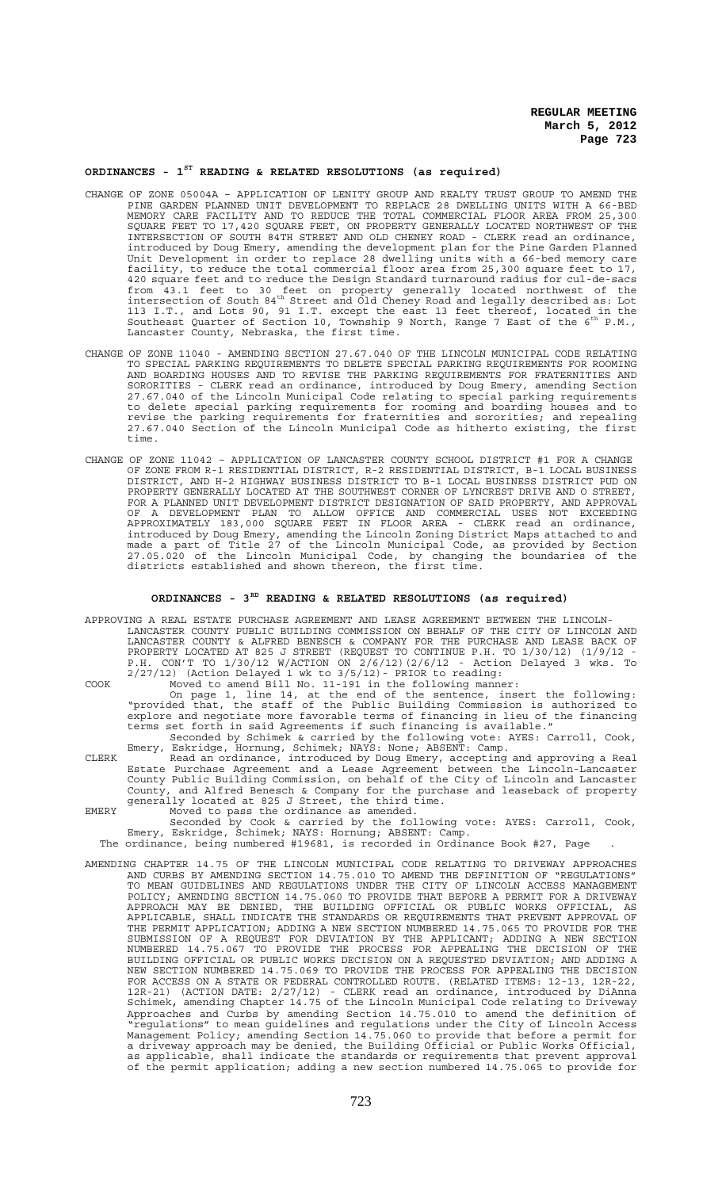# **ORDINANCES - 1ST READING & RELATED RESOLUTIONS (as required)**

- CHANGE OF ZONE 05004A APPLICATION OF LENITY GROUP AND REALTY TRUST GROUP TO AMEND THE PINE GARDEN PLANNED UNIT DEVELOPMENT TO REPLACE 28 DWELLING UNITS WITH A 66-BED MEMORY CARE FACILITY AND TO REDUCE THE TOTAL COMMERCIAL FLOOR AREA FROM 25,300 SQUARE FEET TO 17,420 SQUARE FEET, ON PROPERTY GENERALLY LOCATED NORTHWEST OF THE INTERSECTION OF SOUTH 84TH STREET AND OLD CHENEY ROAD - CLERK read an ordinance, introduced by Doug Emery, amending the development plan for the Pine Garden Planned Unit Development in order to replace 28 dwelling units with a 66-bed memory care facility, to reduce the total commercial floor area from 25,300 square feet to 17, 420 square feet and to reduce the Design Standard turnaround radius for cul-de-sacs from 43.1 feet to 30 feet on property generally located northwest of the<br>intersection of South 84<sup>th</sup> Street and Old Cheney Road and legally described as: Lot 113 I.T., and Lots 90, 91 I.T. except the east 13 feet thereof, located in the<br>Southeast Quarter of Section 10, Township 9 North, Range 7 East of the 6<sup>th</sup> P.M., Lancaster County, Nebraska, the first time.
- CHANGE OF ZONE 11040 AMENDING SECTION 27.67.040 OF THE LINCOLN MUNICIPAL CODE RELATING TO SPECIAL PARKING REQUIREMENTS TO DELETE SPECIAL PARKING REQUIREMENTS FOR ROOMING AND BOARDING HOUSES AND TO REVISE THE PARKING REQUIREMENTS FOR FRATERNITIES AND SORORITIES - CLERK read an ordinance, introduced by Doug Emery, amending Section 27.67.040 of the Lincoln Municipal Code relating to special parking requirements to delete special parking requirements for rooming and boarding houses and to revise the parking requirements for fraternities and sororities; and repealing 27.67.040 Section of the Lincoln Municipal Code as hitherto existing, the first time.
- CHANGE OF ZONE 11042 APPLICATION OF LANCASTER COUNTY SCHOOL DISTRICT #1 FOR A CHANGE OF ZONE FROM R-1 RESIDENTIAL DISTRICT, R-2 RESIDENTIAL DISTRICT, B-1 LOCAL BUSINESS DISTRICT, AND H-2 HIGHWAY BUSINESS DISTRICT TO B-1 LOCAL BUSINESS DISTRICT PUD ON PROPERTY GENERALLY LOCATED AT THE SOUTHWEST CORNER OF LYNCREST DRIVE AND O STREET, FOR A PLANNED UNIT DEVELOPMENT DISTRICT DESIGNATION OF SAID PROPERTY, AND APPROVAL OF A DEVELOPMENT PLAN TO ALLOW OFFICE AND COMMERCIAL USES NOT EXCEEDING APPROXIMATELY 183,000 SQUARE FEET IN FLOOR AREA - CLERK read an ordinance, introduced by Doug Emery, amending the Lincoln Zoning District Maps attached to and made a part of Title 27 of the Lincoln Municipal Code, as provided by Section 27.05.020 of the Lincoln Municipal Code, by changing the boundaries of the districts established and shown thereon, the first time.

## **ORDINANCES - 3RD READING & RELATED RESOLUTIONS (as required)**

APPROVING A REAL ESTATE PURCHASE AGREEMENT AND LEASE AGREEMENT BETWEEN THE LINCOLN-LANCASTER COUNTY PUBLIC BUILDING COMMISSION ON BEHALF OF THE CITY OF LINCOLN AND LANCASTER COUNTY & ALFRED BENESCH & COMPANY FOR THE PURCHASE AND LEASE BACK OF PROPERTY LOCATED AT 825 J STREET (REQUEST TO CONTINUE P.H. TO 1/30/12) (1/9/12 - P.H. CON'T TO 1/30/12 W/ACTION ON 2/6/12)(2/6/12 - Action Delayed 3 wks. To 2/27/12) (Action Delayed 1 wk to 3/5/12)- PRIOR to reading:

COOK Moved to amend Bill No. 11-191 in the following manner:

On page 1, line 14, at the end of the sentence, insert the following: "provided that, the staff of the Public Building Commission is authorized to explore and negotiate more favorable terms of financing in lieu of the financing terms set forth in said Agreements if such financing is available." Seconded by Schimek & carried by the following vote: AYES: Carroll, Cook,

Emery, Eskridge, Hornung, Schimek; NAYS: None; ABSENT: Camp.

CLERK Read an ordinance, introduced by Doug Emery, accepting and approving a Real Estate Purchase Agreement and a Lease Agreement between the Lincoln-Lancaster County Public Building Commission, on behalf of the City of Lincoln and Lancaster County, and Alfred Benesch & Company for the purchase and leaseback of property generally located at 825 J Street, the third time. EMERY Moved to pass the ordinance as amended.

Seconded by Cook & carried by the following vote: AYES: Carroll, Cook, Emery, Eskridge, Schimek; NAYS: Hornung; ABSENT: Camp.

The ordinance, being numbered #19681, is recorded in Ordinance Book #27, Page .

AMENDING CHAPTER 14.75 OF THE LINCOLN MUNICIPAL CODE RELATING TO DRIVEWAY APPROACHES AND CURBS BY AMENDING SECTION 14.75.010 TO AMEND THE DEFINITION OF "REGULATIONS" TO MEAN GUIDELINES AND REGULATIONS UNDER THE CITY OF LINCOLN ACCESS MANAGEMENT POLICY; AMENDING SECTION 14.75.060 TO PROVIDE THAT BEFORE A PERMIT FOR A DRIVEWAY APPROACH MAY BE DENIED, THE BUILDING OFFICIAL OR PUBLIC WORKS OFFICIAL, AS APPLICABLE, SHALL INDICATE THE STANDARDS OR REQUIREMENTS THAT PREVENT APPROVAL OF THE PERMIT APPLICATION; ADDING A NEW SECTION NUMBERED 14.75.065 TO PROVIDE FOR THE SUBMISSION OF A REQUEST FOR DEVIATION BY THE APPLICANT; ADDING A NEW SECTION NUMBERED 14.75.067 TO PROVIDE THE PROCESS FOR APPEALING THE DECISION OF THE BUILDING OFFICIAL OR PUBLIC WORKS DECISION ON A REQUESTED DEVIATION; AND ADDING A NEW SECTION NUMBERED 14.75.069 TO PROVIDE THE PROCESS FOR APPEALING THE DECISION FOR ACCESS ON A STATE OR FEDERAL CONTROLLED ROUTE. (RELATED ITEMS: 12-13, 12R-22, 12R-21) (ACTION DATE: 2/27/12) - CLERK read an ordinance, introduced by DiAnna Schimek, amending Chapter 14.75 of the Lincoln Municipal Code relating to Driveway Approaches and Curbs by amending Section 14.75.010 to amend the definition of "regulations" to mean guidelines and regulations under the City of Lincoln Access Management Policy; amending Section 14.75.060 to provide that before a permit for a driveway approach may be denied, the Building Official or Public Works Official, as applicable, shall indicate the standards or requirements that prevent approval of the permit application; adding a new section numbered 14.75.065 to provide for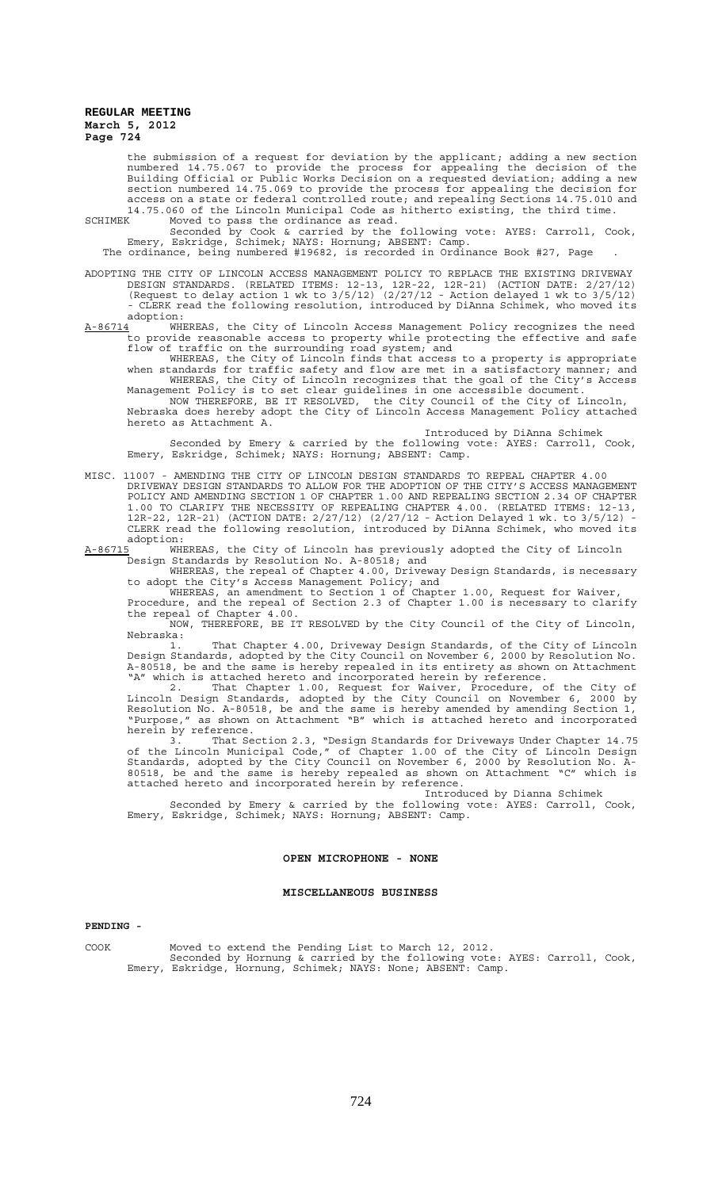the submission of a request for deviation by the applicant; adding a new section numbered 14.75.067 to provide the process for appealing the decision of the Building Official or Public Works Decision on a requested deviation; adding a new section numbered 14.75.069 to provide the process for appealing the decision for access on a state or federal controlled route; and repealing Sections 14.75.010 and 14.75.060 of the Lincoln Municipal Code as hitherto existing, the third time.

SCHIMEK Moved to pass the ordinance as read. Seconded by Cook & carried by the following vote: AYES: Carroll, Cook, Emery, Eskridge, Schimek; NAYS: Hornung; ABSENT: Camp.

The ordinance, being numbered #19682, is recorded in Ordinance Book #27, Page .

ADOPTING THE CITY OF LINCOLN ACCESS MANAGEMENT POLICY TO REPLACE THE EXISTING DRIVEWAY DESIGN STANDARDS. (RELATED ITEMS: 12-13, 12R-22, 12R-21) (ACTION DATE: 2/27/12) (Request to delay action 1 wk to 3/5/12) (2/27/12 - Action delayed 1 wk to 3/5/12) - CLERK read the following resolution, introduced by DiAnna Schimek, who moved its adoption:

 $A-86714$  WHEREAS, the City of Lincoln Access Management Policy recognizes the need to provide reasonable access to property while protecting the effective and safe flow of traffic on the surrounding road system; and

WHEREAS, the City of Lincoln finds that access to a property is appropriate when standards for traffic safety and flow are met in a satisfactory manner; and WHEREAS, the City of Lincoln recognizes that the goal of the City's Access Management Policy is to set clear guidelines in one accessible document.

NOW THEREFORE, BE IT RESOLVED, the City Council of the City of Lincoln, Nebraska does hereby adopt the City of Lincoln Access Management Policy attached hereto as Attachment A.

Introduced by DiAnna Schimek

Seconded by Emery & carried by the following vote: AYES: Carroll, Cook, Emery, Eskridge, Schimek; NAYS: Hornung; ABSENT: Camp.

- MISC. 11007 AMENDING THE CITY OF LINCOLN DESIGN STANDARDS TO REPEAL CHAPTER 4.00 DRIVEWAY DESIGN STANDARDS TO ALLOW FOR THE ADOPTION OF THE CITY'S ACCESS MANAGEMENT POLICY AND AMENDING SECTION 1 OF CHAPTER 1.00 AND REPEALING SECTION 2.34 OF CHAPTER 1.00 TO CLARIFY THE NECESSITY OF REPEALING CHAPTER 4.00. (RELATED ITEMS: 12-13, 12R-22, 12R-21) (ACTION DATE: 2/27/12) (2/27/12 - Action Delayed 1 wk. to 3/5/12) - CLERK read the following resolution, introduced by DiAnna Schimek, who moved its
- adoption:<br>A-86715 WHI A-86715 WHEREAS, the City of Lincoln has previously adopted the City of Lincoln Design Standards by Resolution No. A-80518; and

WHEREAS, the repeal of Chapter 4.00, Driveway Design Standards, is necessary to adopt the City's Access Management Policy; and

WHEREAS, an amendment to Section 1 of Chapter 1.00, Request for Waiver, Procedure, and the repeal of Section 2.3 of Chapter 1.00 is necessary to clarify the repeal of Chapter 4.00.

NOW, THEREFORE, BE IT RESOLVED by the City Council of the City of Lincoln, Nebraska:

1. That Chapter 4.00, Driveway Design Standards, of the City of Lincoln Design Standards, adopted by the City Council on November 6, 2000 by Resolution No. A-80518, be and the same is hereby repealed in its entirety as shown on Attachment "A" which is attached hereto and incorporated herein by reference.

2. That Chapter 1.00, Request for Waiver, Procedure, of the City of Lincoln Design Standards, adopted by the City Council on November 6, 2000 by Resolution No. A-80518, be and the same is hereby amended by amending Section 1, "Purpose," as shown on Attachment "B" which is attached hereto and incorporated herein by reference.

3. That Section 2.3, "Design Standards for Driveways Under Chapter 14.75 of the Lincoln Municipal Code," of Chapter 1.00 of the City of Lincoln Design Standards, adopted by the City Council on November 6, 2000 by Resolution No. A-80518, be and the same is hereby repealed as shown on Attachment "C" which is attached hereto and incorporated herein by reference.

Introduced by Dianna Schimek

Seconded by Emery & carried by the following vote: AYES: Carroll, Cook, Emery, Eskridge, Schimek; NAYS: Hornung; ABSENT: Camp.

### **OPEN MICROPHONE - NONE**

## **MISCELLANEOUS BUSINESS**

#### **PENDING -**

COOK Moved to extend the Pending List to March 12, 2012. Seconded by Hornung & carried by the following vote: AYES: Carroll, Cook, Emery, Eskridge, Hornung, Schimek; NAYS: None; ABSENT: Camp.